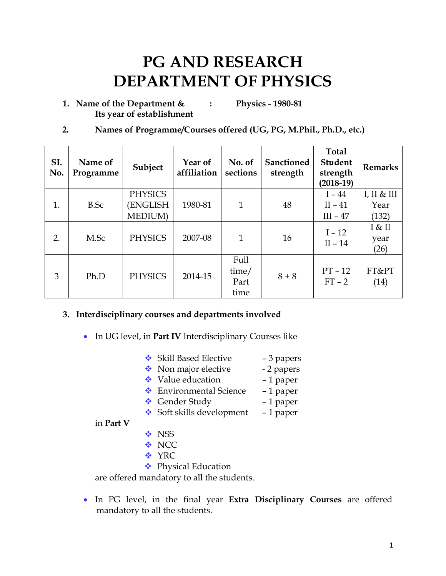# **PG AND RESEARCH DEPARTMENT OF PHYSICS**

**1. Name of the Department & : Physics - 1980-81 Its year of establishment**

#### **2. Names of Programme/Courses offered (UG, PG, M.Phil., Ph.D., etc.)**

| SI.<br>No. | Name of<br>Programme | Subject         | Year of<br>affiliation | No. of<br>sections            | <b>Sanctioned</b><br>strength | <b>Total</b><br><b>Student</b><br>strength<br>$(2018-19)$ | <b>Remarks</b>         |
|------------|----------------------|-----------------|------------------------|-------------------------------|-------------------------------|-----------------------------------------------------------|------------------------|
|            |                      | <b>PHYSICS</b>  |                        |                               |                               | $I - 44$                                                  | I, II & H              |
| 1.         | B.Sc                 | (ENGLISH        | 1980-81                | 1                             | 48                            | $II - 41$                                                 | Year                   |
|            |                      | <b>MEDIUM</b> ) |                        |                               |                               | $III - 47$                                                | (132)                  |
| 2.         | M.Sc                 | <b>PHYSICS</b>  | 2007-08                | 1                             | 16                            | $I - 12$<br>$II - 14$                                     | I & II<br>year<br>(26) |
| 3          | Ph.D                 | <b>PHYSICS</b>  | 2014-15                | Full<br>time/<br>Part<br>time | $8 + 8$                       | $PT - 12$<br>$FT-2$                                       | FT&PT<br>(14)          |

#### **3. Interdisciplinary courses and departments involved**

- In UG level, in **Part IV** Interdisciplinary Courses like
	- $\triangleleft$  Skill Based Elective  $-3$  papers
	- $\bullet$  Non major elective  $-2$  papers
	- Value education 1 paper
	- Environmental Science 1 paper
	- ◆ Gender Study 1 paper
	- $\div$  Soft skills development 1 paper

#### in **Part V**

- **❖ NSS**
- **❖ NCC**
- **❖ YRC**
- **❖** Physical Education

are offered mandatory to all the students.

 In PG level, in the final year **Extra Disciplinary Courses** are offered mandatory to all the students.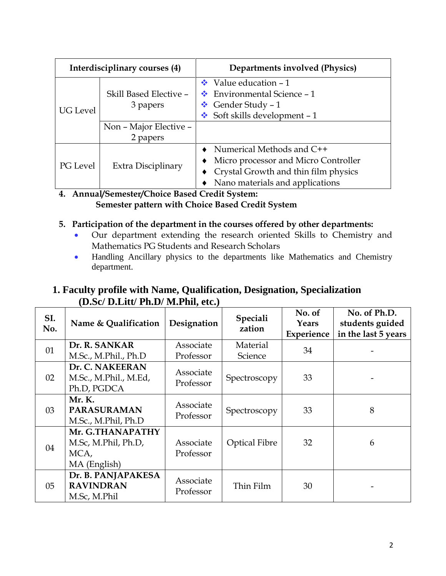|                 | Interdisciplinary courses (4)      | Departments involved (Physics)                                                                                                                 |  |  |  |
|-----------------|------------------------------------|------------------------------------------------------------------------------------------------------------------------------------------------|--|--|--|
| <b>UG</b> Level | Skill Based Elective -<br>3 papers | ❖ Value education $-1$<br>$\cdot$ Environmental Science - 1<br>❖ Gender Study – 1<br>Soft skills development - 1                               |  |  |  |
|                 | Non - Major Elective -<br>2 papers |                                                                                                                                                |  |  |  |
| PG Level        | Extra Disciplinary                 | Numerical Methods and C++<br>Micro processor and Micro Controller<br>• Crystal Growth and thin film physics<br>Nano materials and applications |  |  |  |

#### **4. Annual/Semester/Choice Based Credit System: Semester pattern with Choice Based Credit System**

### **5. Participation of the department in the courses offered by other departments:**

- Our department extending the research oriented Skills to Chemistry and Mathematics PG Students and Research Scholars
- Handling Ancillary physics to the departments like Mathematics and Chemistry department.

#### **1. Faculty profile with Name, Qualification, Designation, Specialization (D.Sc/ D.Litt/ Ph.D/ M.Phil, etc.)**

| SI.<br>No. | Name & Qualification                                            | Designation            | Speciali<br>zation   | No. of<br>Years<br>Experience | No. of Ph.D.<br>students guided<br>in the last 5 years |
|------------|-----------------------------------------------------------------|------------------------|----------------------|-------------------------------|--------------------------------------------------------|
| 01         | Dr. R. SANKAR<br>M.Sc., M.Phil., Ph.D                           | Associate<br>Professor | Material<br>Science  | 34                            |                                                        |
| 02         | Dr. C. NAKEERAN<br>M.Sc., M.Phil., M.Ed,<br>Ph.D, PGDCA         | Associate<br>Professor | Spectroscopy         | 33                            |                                                        |
| 03         | Mr. K.<br><b>PARASURAMAN</b><br>M.Sc., M.Phil, Ph.D             | Associate<br>Professor | Spectroscopy         | 33                            | 8                                                      |
| 04         | Mr. G.THANAPATHY<br>M.Sc, M.Phil, Ph.D,<br>MCA,<br>MA (English) | Associate<br>Professor | <b>Optical Fibre</b> | 32                            | 6                                                      |
| 05         | Dr. B. PANJAPAKESA<br><b>RAVINDRAN</b><br>M.Sc, M.Phil          | Associate<br>Professor | Thin Film            | 30                            |                                                        |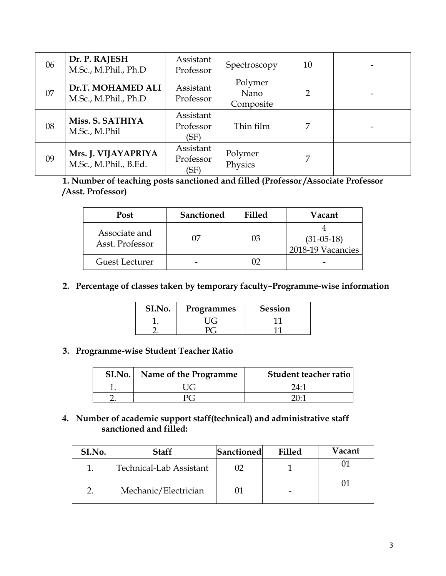| 06 | Dr. P. RAJESH<br>M.Sc., M.Phil., Ph.D        | Assistant<br>Professor         | Spectroscopy                 | 10             |  |
|----|----------------------------------------------|--------------------------------|------------------------------|----------------|--|
| 07 | Dr.T. MOHAMED ALI<br>M.Sc., M.Phil., Ph.D    | Assistant<br>Professor         | Polymer<br>Nano<br>Composite | $\overline{2}$ |  |
| 08 | Miss. S. SATHIYA<br>M.Sc., M.Phil            | Assistant<br>Professor<br>(SF) | Thin film                    | 7              |  |
| 09 | Mrs. J. VIJAYAPRIYA<br>M.Sc., M.Phil., B.Ed. | Assistant<br>Professor<br>(SF) | Polymer<br>Physics           | 7              |  |

**1. Number of teaching posts sanctioned and filled (Professor /Associate Professor /Asst. Professor)**

| Post                             | <b>Sanctioned</b> | Filled | Vacant                            |
|----------------------------------|-------------------|--------|-----------------------------------|
| Associate and<br>Asst. Professor |                   | 03     | $(31-05-18)$<br>2018-19 Vacancies |
| <b>Guest Lecturer</b>            |                   |        |                                   |

**2. Percentage of classes taken by temporary faculty–Programme-wise information**

| SI.No. | Programmes | <b>Session</b> |
|--------|------------|----------------|
|        |            |                |
|        |            |                |

#### **3. Programme-wise Student Teacher Ratio**

| SI.No. | Name of the Programme | Student teacher ratio |
|--------|-----------------------|-----------------------|
|        |                       | 74.7                  |
|        |                       | הרור                  |

#### **4. Number of academic support staff(technical) and administrative staff sanctioned and filled:**

| SI.No. | <b>Staff</b>            | Sanctioned | <b>Filled</b> | Vacant |
|--------|-------------------------|------------|---------------|--------|
|        | Technical-Lab Assistant |            |               |        |
|        | Mechanic/Electrician    |            |               |        |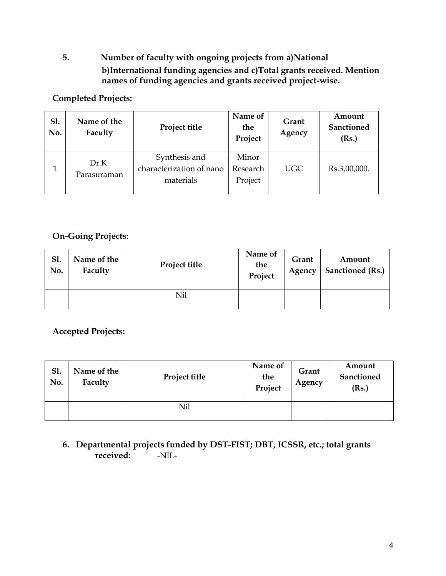**5. Number of faculty with ongoing projects from a)National b)International funding agencies and c)Total grants received. Mention names of funding agencies and grants received project-wise.**

#### **Completed Projects:**

| S1.<br>No. | Name of the<br>Faculty | Project title                                          | Name of<br>the<br>Project    | Grant<br>Agency | Amount<br>Sanctioned<br>(Rs.) |  |
|------------|------------------------|--------------------------------------------------------|------------------------------|-----------------|-------------------------------|--|
| 1          | Dr.K.<br>Parasuraman   | Synthesis and<br>characterization of nano<br>materials | Minor<br>Research<br>Project | <b>UGC</b>      | Rs.3,00,000.                  |  |

### **On-Going Projects:**

| <b>S1.</b><br>No. | Name of the<br>Faculty | Project title | Name of<br>the<br>Project | Grant<br>Agency | Amount<br>Sanctioned (Rs.) |
|-------------------|------------------------|---------------|---------------------------|-----------------|----------------------------|
|                   |                        | Nil           |                           |                 |                            |

**Accepted Projects:**

| S1.<br>No. | Name of the<br>Faculty | Project title | Name of<br>the<br>Project | Grant<br>Agency | Amount<br><b>Sanctioned</b><br>(Rs.) |
|------------|------------------------|---------------|---------------------------|-----------------|--------------------------------------|
|            |                        | Nil           |                           |                 |                                      |

#### **6. Departmental projects funded by DST-FIST; DBT, ICSSR, etc.; total grants received:** -NIL-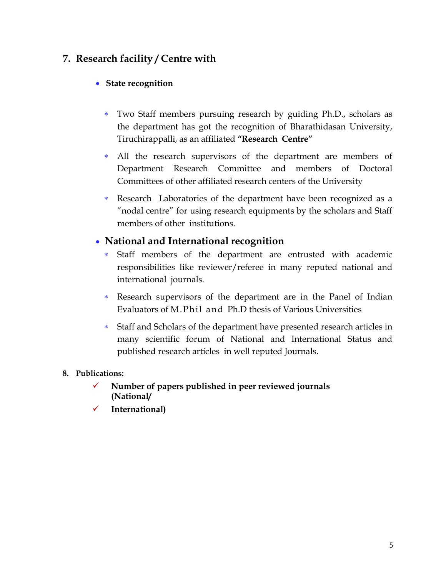# **7. Research facility / Centre with**

#### **State recognition**

- Two Staff members pursuing research by guiding Ph.D., scholars as the department has got the recognition of Bharathidasan University, Tiruchirappalli, as an affiliated **"Research Centre"**
- All the research supervisors of the department are members of Department Research Committee and members of Doctoral Committees of other affiliated research centers of the University
- Research Laboratories of the department have been recognized as a "nodal centre" for using research equipments by the scholars and Staff members of other institutions.

### **National and International recognition**

- Staff members of the department are entrusted with academic responsibilities like reviewer/referee in many reputed national and international journals.
- Research supervisors of the department are in the Panel of Indian Evaluators of M. Phil and Ph.D thesis of Various Universities
- Staff and Scholars of the department have presented research articles in many scientific forum of National and International Status and published research articles in well reputed Journals.

#### **8. Publications:**

- **Number of papers published in peer reviewed journals (National/**
- **International)**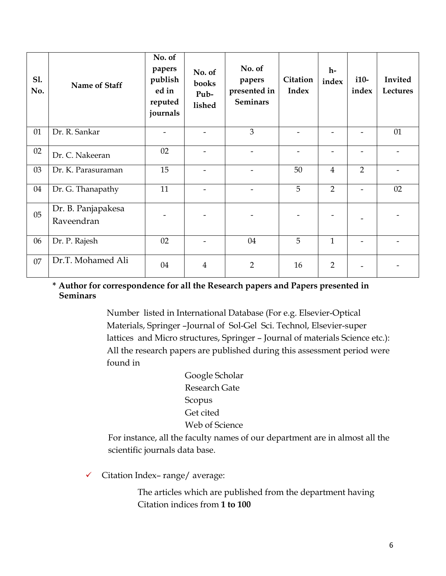| <b>Sl.</b><br>No. | Name of Staff                    | No. of<br>papers<br>publish<br>ed in<br>reputed<br>journals | No. of<br>books<br>Pub-<br>lished | No. of<br>papers<br>presented in<br><b>Seminars</b> | Citation<br>Index | $h-$<br>index  | $i10-$<br>index | Invited<br>Lectures |
|-------------------|----------------------------------|-------------------------------------------------------------|-----------------------------------|-----------------------------------------------------|-------------------|----------------|-----------------|---------------------|
| 01                | Dr. R. Sankar                    | $\overline{\phantom{0}}$                                    |                                   | $\overline{3}$                                      |                   |                |                 | 01                  |
| 02                | Dr. C. Nakeeran                  | 02                                                          |                                   |                                                     |                   |                |                 |                     |
| 03                | Dr. K. Parasuraman               | 15                                                          |                                   |                                                     | 50                | $\overline{4}$ | $\overline{2}$  |                     |
| 04                | Dr. G. Thanapathy                | 11                                                          | -                                 |                                                     | 5                 | $\overline{2}$ |                 | 02                  |
| 05                | Dr. B. Panjapakesa<br>Raveendran |                                                             |                                   |                                                     |                   |                |                 |                     |
| 06                | Dr. P. Rajesh                    | 02                                                          |                                   | 04                                                  | 5                 | $\mathbf{1}$   |                 |                     |
| 07                | Dr.T. Mohamed Ali                | 04                                                          | $\overline{4}$                    | $\overline{2}$                                      | 16                | 2              |                 |                     |

#### **\* Author for correspondence for all the Research papers and Papers presented in Seminars**

Number listed in International Database (For e.g. Elsevier-Optical Materials, Springer –Journal of Sol-Gel Sci. Technol, Elsevier-super lattices and Micro structures, Springer – Journal of materials Science etc.): All the research papers are published during this assessment period were found in

> Google Scholar Research Gate Scopus Get cited Web of Science

For instance, all the faculty names of our department are in almost all the scientific journals data base.

 $\checkmark$  Citation Index-range/ average:

The articles which are published from the department having Citation indices from **1 to 100**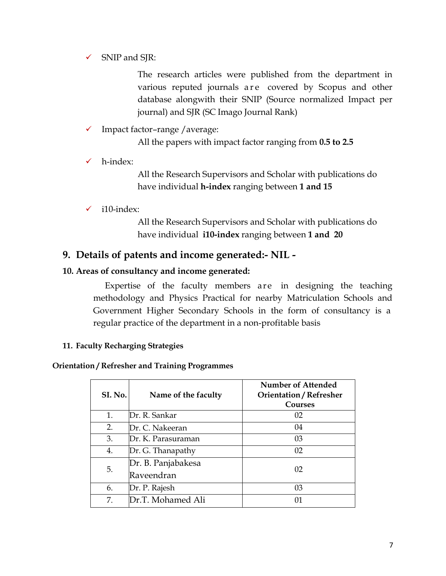$\checkmark$  SNIP and SJR:

The research articles were published from the department in various reputed journals a re covered by Scopus and other database alongwith their SNIP (Source normalized Impact per journal) and SJR (SC Imago Journal Rank)

 $\checkmark$  Impact factor–range /average:

All the papers with impact factor ranging from **0.5 to 2.5**

h-index:

All the Research Supervisors and Scholar with publications do have individual **h-index** ranging between **1 and 15**

 $\checkmark$  i10-index:

All the Research Supervisors and Scholar with publications do have individual **i10-index** ranging between **1 and 20**

### **9. Details of patents and income generated:- NIL -**

#### **10. Areas of consultancy and income generated:**

Expertise of the faculty members are in designing the teaching methodology and Physics Practical for nearby Matriculation Schools and Government Higher Secondary Schools in the form of consultancy is a regular practice of the department in a non-profitable basis

**11. Faculty Recharging Strategies**

#### **Orientation / Refresher and Training Programmes**

| SI. No. | Name of the faculty              | <b>Number of Attended</b><br><b>Orientation / Refresher</b><br>Courses |
|---------|----------------------------------|------------------------------------------------------------------------|
| 1.      | Dr. R. Sankar                    | 02                                                                     |
| 2.      | Dr. C. Nakeeran                  | 04                                                                     |
| 3.      | Dr. K. Parasuraman               | 03                                                                     |
| 4.      | Dr. G. Thanapathy                | 02                                                                     |
| 5.      | Dr. B. Panjabakesa<br>Raveendran | 02                                                                     |
| 6.      | Dr. P. Rajesh                    | 03                                                                     |
| 7.      | Dr.T. Mohamed Ali                |                                                                        |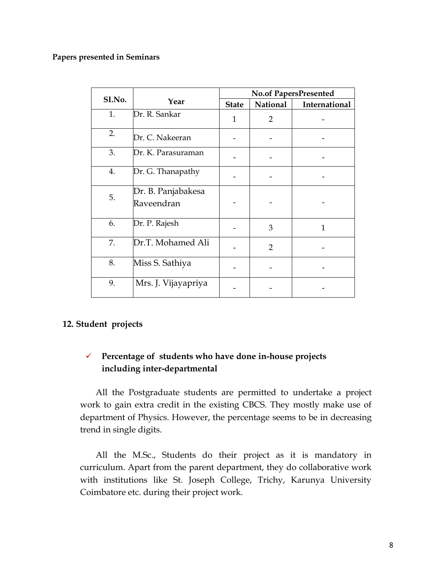#### **Papers presented in Seminars**

|        |                                  | <b>No.of PapersPresented</b> |                |               |  |  |
|--------|----------------------------------|------------------------------|----------------|---------------|--|--|
| SI.No. | Year                             | <b>State</b>                 | National       | International |  |  |
| 1.     | Dr. R. Sankar                    | 1                            | $\overline{2}$ |               |  |  |
| 2.     | Dr. C. Nakeeran                  |                              |                |               |  |  |
| 3.     | Dr. K. Parasuraman               |                              |                |               |  |  |
| 4.     | Dr. G. Thanapathy                |                              |                |               |  |  |
| 5.     | Dr. B. Panjabakesa<br>Raveendran |                              |                |               |  |  |
| 6.     | Dr. P. Rajesh                    |                              | 3              | $\mathbf{1}$  |  |  |
| 7.     | Dr.T. Mohamed Ali                |                              | $\overline{2}$ |               |  |  |
| 8.     | Miss S. Sathiya                  |                              |                |               |  |  |
| 9.     | Mrs. J. Vijayapriya              |                              |                |               |  |  |

#### **12. Student projects**

#### **Percentage of students who have done in-house projects including inter-departmental**

All the Postgraduate students are permitted to undertake a project work to gain extra credit in the existing CBCS. They mostly make use of department of Physics. However, the percentage seems to be in decreasing trend in single digits.

All the M.Sc., Students do their project as it is mandatory in curriculum. Apart from the parent department, they do collaborative work with institutions like St. Joseph College, Trichy, Karunya University Coimbatore etc. during their project work.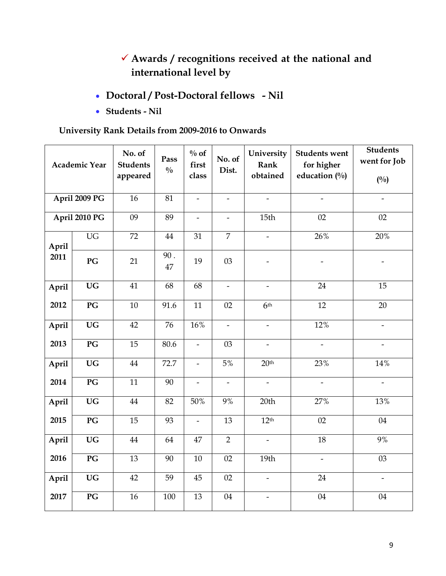# **Awards / recognitions received at the national and international level by**

- **Doctoral / Post-Doctoral fellows - Nil**
- **Students - Nil**

# **University Rank Details from 2009-2016 to Onwards**

|              | <b>Academic Year</b> | No. of<br><b>Students</b><br>appeared | Pass<br>$\frac{0}{0}$ | $\%$ of<br>first<br>class | No. of<br>Dist.          | University<br>Rank<br>obtained | <b>Students went</b><br>for higher<br>education $(%)$ | <b>Students</b><br>went for Job<br>$(^{0}/_{0})$ |
|--------------|----------------------|---------------------------------------|-----------------------|---------------------------|--------------------------|--------------------------------|-------------------------------------------------------|--------------------------------------------------|
|              | April 2009 PG        | 16                                    | 81                    | $\blacksquare$            | $\overline{\phantom{a}}$ |                                | $\overline{a}$                                        |                                                  |
|              | April 2010 PG        | 09                                    | 89                    | $\overline{\phantom{0}}$  | $\overline{\phantom{0}}$ | 15th                           | 02                                                    | 02                                               |
| <b>April</b> | $\overline{UG}$      | 72                                    | 44                    | 31                        | $\overline{7}$           |                                | 26%                                                   | 20%                                              |
| 2011         | PG                   | 21                                    | 90.<br>47             | 19                        | 03                       |                                |                                                       |                                                  |
| April        | <b>UG</b>            | 41                                    | 68                    | 68                        | $\overline{\phantom{a}}$ | $\overline{\phantom{0}}$       | 24                                                    | 15                                               |
| 2012         | PG                   | 10                                    | 91.6                  | 11                        | 02                       | 6 <sup>th</sup>                | 12                                                    | 20                                               |
| April        | $\overline{UG}$      | 42                                    | $\overline{76}$       | 16%                       | $\overline{\phantom{a}}$ | $\blacksquare$                 | 12%                                                   | $\overline{a}$                                   |
| 2013         | PG                   | 15                                    | 80.6                  | $\blacksquare$            | 03                       | $\overline{a}$                 |                                                       |                                                  |
| April        | <b>UG</b>            | 44                                    | 72.7                  | $\overline{\phantom{0}}$  | 5%                       | 20 <sup>th</sup>               | 23%                                                   | 14%                                              |
| 2014         | PG                   | 11                                    | 90                    | $\overline{a}$            | $\overline{a}$           | $\overline{a}$                 |                                                       |                                                  |
| April        | <b>UG</b>            | 44                                    | 82                    | 50%                       | 9%                       | 20th                           | 27%                                                   | 13%                                              |
| 2015         | PG                   | 15                                    | 93                    | $\frac{1}{2}$             | 13                       | 12 <sup>th</sup>               | 02                                                    | 04                                               |
| April        | <b>UG</b>            | 44                                    | 64                    | 47                        | $\overline{2}$           | $\overline{a}$                 | 18                                                    | 9%                                               |
| 2016         | PG                   | 13                                    | 90                    | 10                        | 02                       | 19th                           | $\overline{\phantom{a}}$                              | 03                                               |
| April        | <b>UG</b>            | 42                                    | 59                    | 45                        | 02                       | $\overline{\phantom{a}}$       | 24                                                    | $\blacksquare$                                   |
| 2017         | PG                   | 16                                    | 100                   | 13                        | 04                       | $\overline{\phantom{a}}$       | 04                                                    | 04                                               |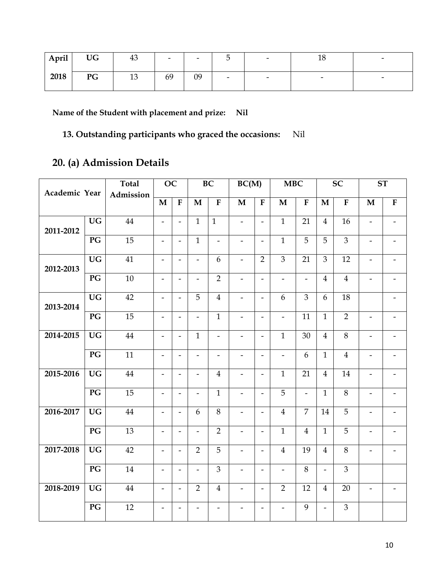| April | <b>UG</b> | 43 | $\overline{\phantom{0}}$ | $\overline{\phantom{0}}$ |                          | $\overline{\phantom{0}}$ | 1C<br>TΟ                 | $\overline{\phantom{0}}$ |
|-------|-----------|----|--------------------------|--------------------------|--------------------------|--------------------------|--------------------------|--------------------------|
| 2018  | PG        | 13 | 69                       | 09                       | $\overline{\phantom{0}}$ | $\overline{\phantom{0}}$ | $\overline{\phantom{0}}$ |                          |

**Name of the Student with placement and prize: Nil**

# **13. Outstanding participants who graced the occasions:** Nil

# **20. (a) Admission Details**

| Academic Year |                 | <b>Total</b>    | <b>OC</b>                |                          |                          | <b>BC</b>                | BC(M)                        |                          | MBC                      |                          |                  | <b>SC</b>      |                              | <b>ST</b>                    |
|---------------|-----------------|-----------------|--------------------------|--------------------------|--------------------------|--------------------------|------------------------------|--------------------------|--------------------------|--------------------------|------------------|----------------|------------------------------|------------------------------|
|               |                 | Admission       | $\mathbf{M}$             | ${\bf F}$                | $\mathbf M$              | ${\bf F}$                | $\mathbf M$                  | $\mathbf F$              | $\mathbf{M}$             | ${\bf F}$                | $\mathbf M$      | ${\bf F}$      | $\mathbf{M}$                 | ${\bf F}$                    |
| 2011-2012     | $\overline{UG}$ | 44              | $\overline{\phantom{a}}$ | $\blacksquare$           | $\mathbf{1}$             | $\mathbf{1}$             | $\overline{\phantom{a}}$     | $\overline{a}$           | $\mathbf{1}$             | 21                       | $\overline{4}$   | 16             | $\blacksquare$               | $\frac{1}{2}$                |
|               | $\overline{PG}$ | $\overline{15}$ | $\blacksquare$           | $\overline{\phantom{a}}$ | $\mathbf{1}$             | $\overline{\phantom{a}}$ | $\overline{\phantom{0}}$     | $\frac{1}{2}$            | $\mathbf{1}$             | $\overline{5}$           | $\overline{5}$   | $\overline{3}$ | $\frac{1}{2}$                |                              |
| 2012-2013     | $\overline{UG}$ | 41              | $\overline{\phantom{a}}$ | $\overline{\phantom{a}}$ | $\overline{\phantom{a}}$ | 6                        | $\qquad \qquad \blacksquare$ | $\overline{2}$           | $\overline{3}$           | 21                       | 3                | 12             | $\overline{\phantom{a}}$     |                              |
|               | $\overline{PG}$ | 10              | $\overline{\phantom{a}}$ | $\overline{\phantom{a}}$ | $\overline{\phantom{0}}$ | $\overline{2}$           | $\overline{\phantom{a}}$     | $\overline{\phantom{a}}$ | $\overline{\phantom{a}}$ | $\overline{\phantom{a}}$ | $\overline{4}$   | $\overline{4}$ |                              |                              |
| 2013-2014     | $\overline{UG}$ | 42              | $\overline{\phantom{a}}$ | $\overline{\phantom{a}}$ | 5                        | $\overline{4}$           | $\overline{\phantom{a}}$     | $\overline{\phantom{a}}$ | 6                        | 3                        | $\boldsymbol{6}$ | 18             |                              | $\overline{\phantom{a}}$     |
|               | PG              | 15              | $\overline{\phantom{a}}$ | $\overline{\phantom{a}}$ | $\frac{1}{2}$            | $\mathbf{1}$             | $\overline{\phantom{a}}$     | $\overline{\phantom{a}}$ | $\overline{\phantom{a}}$ | 11                       | $\mathbf{1}$     | $\overline{2}$ | $\blacksquare$               | $\overline{\phantom{a}}$     |
| 2014-2015     | <b>UG</b>       | 44              | $\overline{\phantom{a}}$ | $\overline{\phantom{a}}$ | $\mathbf{1}$             | $\overline{\phantom{a}}$ | $\qquad \qquad \blacksquare$ | $\overline{\phantom{a}}$ | $\mathbf{1}$             | 30                       | $\overline{4}$   | $8\,$          | $\overline{\phantom{a}}$     |                              |
|               | $\overline{PG}$ | 11              | $\blacksquare$           | $\blacksquare$           | $\frac{1}{2}$            | $\frac{1}{2}$            | $\overline{a}$               | $\overline{\phantom{a}}$ | $\blacksquare$           | 6                        | $\mathbf{1}$     | $\overline{4}$ | $\blacksquare$               | $\overline{\phantom{0}}$     |
| 2015-2016     | $\overline{UG}$ | 44              | $\overline{\phantom{a}}$ | $\overline{\phantom{a}}$ | $\overline{\phantom{0}}$ | $\boldsymbol{4}$         | $\blacksquare$               | $\frac{1}{2}$            | $\mathbf{1}$             | 21                       | $\overline{4}$   | 14             | $\overline{a}$               |                              |
|               | PG              | 15              | $\overline{\phantom{a}}$ | $\overline{\phantom{a}}$ | $\overline{a}$           | $\mathbf{1}$             | $\overline{\phantom{0}}$     | $\overline{\phantom{a}}$ | 5                        | $\overline{\phantom{a}}$ | $\mathbf{1}$     | 8              | $\overline{\phantom{0}}$     |                              |
| 2016-2017     | <b>UG</b>       | 44              | $\overline{\phantom{a}}$ | $\overline{\phantom{a}}$ | 6                        | $\,8\,$                  | $\overline{\phantom{a}}$     | $\overline{\phantom{a}}$ | $\overline{4}$           | $\overline{7}$           | 14               | 5              | $\overline{\phantom{a}}$     | $\overline{\phantom{0}}$     |
|               | PG              | 13              | $\overline{\phantom{a}}$ | $\overline{\phantom{a}}$ | $\frac{1}{2}$            | $\overline{2}$           | $\overline{\phantom{a}}$     | $\frac{1}{2}$            | $\mathbf{1}$             | $\overline{4}$           | $\mathbf{1}$     | 5              | $\overline{\phantom{a}}$     | $\qquad \qquad \blacksquare$ |
| 2017-2018     | <b>UG</b>       | 42              | $\overline{\phantom{a}}$ | $\overline{\phantom{a}}$ | $\overline{2}$           | 5                        | $\qquad \qquad \blacksquare$ | $\overline{\phantom{a}}$ | $\overline{4}$           | 19                       | $\overline{4}$   | $8\,$          | $\qquad \qquad \blacksquare$ | -                            |
|               | $\overline{PG}$ | 14              | $\overline{\phantom{a}}$ | $\overline{\phantom{a}}$ | $\overline{\phantom{a}}$ | 3                        | $\overline{\phantom{a}}$     | $\overline{\phantom{a}}$ | $\overline{\phantom{a}}$ | 8                        | $\blacksquare$   | $\overline{3}$ |                              |                              |
| 2018-2019     | <b>UG</b>       | 44              | $\overline{\phantom{a}}$ | $\overline{\phantom{a}}$ | $\overline{2}$           | $\bf 4$                  | $\overline{\phantom{0}}$     | $\overline{\phantom{a}}$ | $\overline{2}$           | 12                       | $\overline{4}$   | 20             | $\overline{a}$               |                              |
|               | PG              | 12              | $\overline{\phantom{a}}$ | $\overline{\phantom{a}}$ |                          |                          |                              | $\overline{\phantom{a}}$ | $\overline{\phantom{0}}$ | 9                        | $\frac{1}{2}$    | $\overline{3}$ |                              |                              |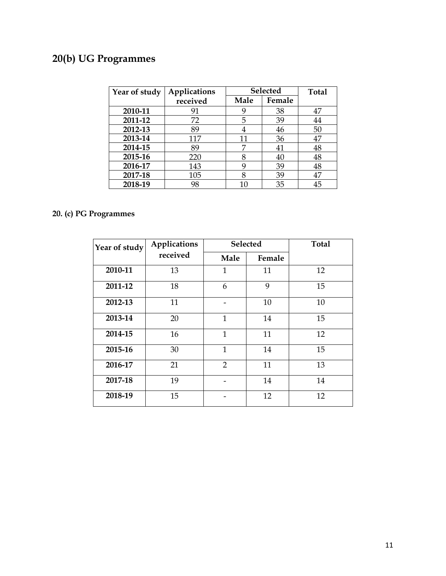# **20(b) UG Programmes**

| Year of study | Applications |      | <b>Selected</b> |    |  |
|---------------|--------------|------|-----------------|----|--|
|               | received     | Male | Female          |    |  |
| 2010-11       | 91           |      | 38              | 47 |  |
| 2011-12       | 72           | 5    | 39              | 44 |  |
| 2012-13       | 89           | 4    | 46              | 50 |  |
| 2013-14       | 117          | 11   | 36              | 47 |  |
| 2014-15       | 89           | 7    | 41              | 48 |  |
| 2015-16       | 220          | 8    | 40              | 48 |  |
| 2016-17       | 143          | 9    | 39              | 48 |  |
| 2017-18       | 105          | 8    | 39              | 47 |  |
| 2018-19       | 98           | 10   | 35              | 45 |  |

# **20. (c) PG Programmes**

| Year of study | Applications |                | Selected | Total |
|---------------|--------------|----------------|----------|-------|
|               | received     | Male           | Female   |       |
| 2010-11       | 13           | 1              | 11       | 12    |
| 2011-12       | 18           | 6              | 9        | 15    |
| 2012-13       | 11           |                | 10       | 10    |
| 2013-14       | 20           | 1              | 14       | 15    |
| 2014-15       | 16           | $\mathbf{1}$   | 11       | 12    |
| 2015-16       | 30           | $\mathbf{1}$   | 14       | 15    |
| 2016-17       | 21           | $\overline{2}$ | 11       | 13    |
| 2017-18       | 19           |                | 14       | 14    |
| 2018-19       | 15           |                | 12       | 12    |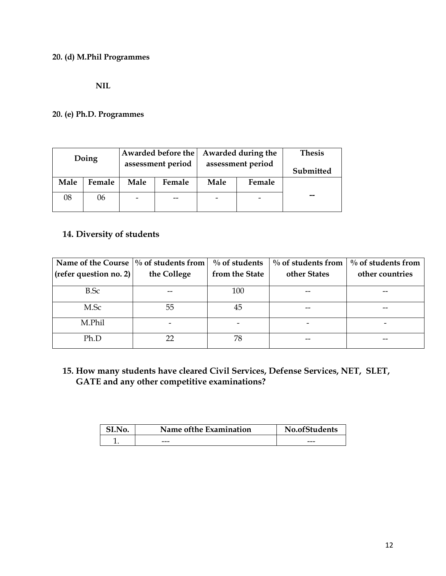#### **20. (d) M.Phil Programmes**

**NIL**

#### **20. (e) Ph.D. Programmes**

| Doing |        |                   | Awarded before the |                          | Awarded during the | <b>Thesis</b> |
|-------|--------|-------------------|--------------------|--------------------------|--------------------|---------------|
|       |        | assessment period |                    |                          | assessment period  | Submitted     |
| Male  | Female | Male              | Female             | Male                     | Female             |               |
| 08    | 06     |                   | --                 | $\overline{\phantom{0}}$ |                    |               |

# **14. Diversity of students**

| Name of the Course $\frac{1}{2}$ of students from |             | $\%$ of students | $\%$ of students from $\parallel$ | $\%$ of students from |
|---------------------------------------------------|-------------|------------------|-----------------------------------|-----------------------|
| (refer question no. 2)                            | the College | from the State   | other States                      | other countries       |
| B.Sc                                              |             | 100              |                                   |                       |
| M.Sc                                              | 55          | 45               | --                                | --                    |
| M.Phil                                            |             |                  |                                   |                       |
| Ph.D                                              |             | 78               |                                   |                       |

**15. How many students have cleared Civil Services, Defense Services, NET, SLET, GATE and any other competitive examinations?**

| SI.No. | Name of the Examination | No.ofStudents |
|--------|-------------------------|---------------|
|        | ---                     | ---           |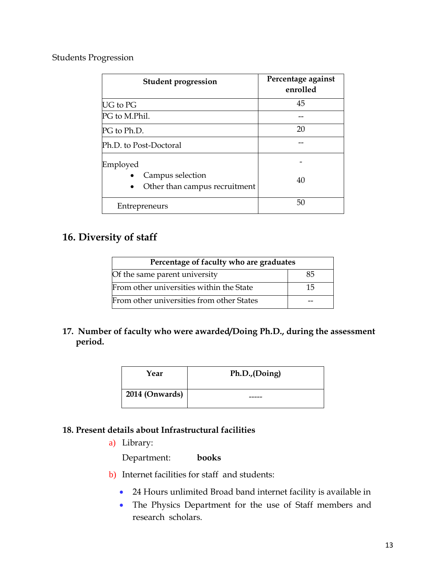Students Progression

| <b>Student progression</b>                                     | Percentage against<br>enrolled |  |
|----------------------------------------------------------------|--------------------------------|--|
| UG to PG                                                       | 45                             |  |
| PG to M.Phil.                                                  |                                |  |
| PG to Ph.D.                                                    | 20                             |  |
| Ph.D. to Post-Doctoral                                         |                                |  |
| Employed                                                       |                                |  |
| Campus selection<br>Other than campus recruitment<br>$\bullet$ | 40                             |  |
| Entrepreneurs                                                  | 50                             |  |

# **16. Diversity of staff**

| Percentage of faculty who are graduates   |    |  |  |  |  |
|-------------------------------------------|----|--|--|--|--|
| Of the same parent university             | 85 |  |  |  |  |
| From other universities within the State  | 15 |  |  |  |  |
| From other universities from other States |    |  |  |  |  |

**17. Number of faculty who were awarded/Doing Ph.D., during the assessment period.**

| Year           | Ph.D.,(Doing) |
|----------------|---------------|
| 2014 (Onwards) |               |

#### **18. Present details about Infrastructural facilities**

a) Library:

Department: **books**

- b) Internet facilities for staff and students:
	- 24 Hours unlimited Broad band internet facility is available in
	- The Physics Department for the use of Staff members and research scholars.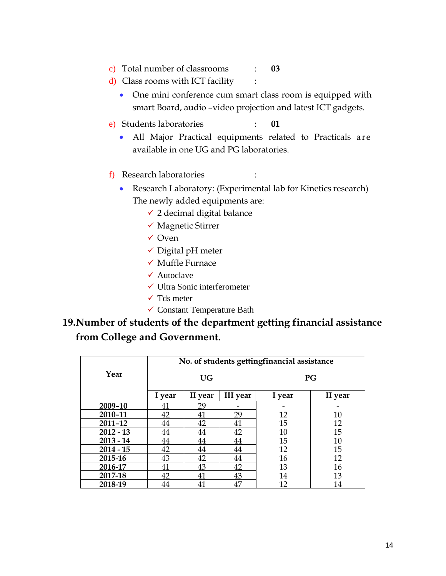c) Total number of classrooms : **03**

d) Class rooms with ICT facility :

- One mini conference cum smart class room is equipped with smart Board, audio –video projection and latest ICT gadgets.
- e) Students laboratories : **01**
	- All Major Practical equipments related to Practicals are available in one UG and PG laboratories.
- f) Research laboratories :
	- Research Laboratory: (Experimental lab for Kinetics research) The newly added equipments are:
		- $\checkmark$  2 decimal digital balance
		- $\checkmark$  Magnetic Stirrer
		- $\checkmark$  Oven
		- $\checkmark$  Digital pH meter
		- $\checkmark$  Muffle Furnace
		- $\checkmark$  Autoclave
		- $\checkmark$  Ultra Sonic interferometer
		- $\checkmark$  Tds meter
		- $\checkmark$  Constant Temperature Bath

# **19.Number of students of the department getting financial assistance from College and Government.**

|             |           |         |                 | No. of students gettingfinancial assistance |         |
|-------------|-----------|---------|-----------------|---------------------------------------------|---------|
| Year        | <b>UG</b> |         |                 | PG                                          |         |
|             | I year    | II year | <b>III</b> year | I year                                      | II year |
| 2009-10     | 41        | 29      |                 |                                             |         |
| 2010-11     | 42        | 41      | 29              | 12                                          | 10      |
| 2011-12     | 44        | 42      | 41              | 15                                          | 12      |
| $2012 - 13$ | 44        | 44      | 42              | 10                                          | 15      |
| $2013 - 14$ | 44        | 44      | 44              | 15                                          | 10      |
| $2014 - 15$ | 42        | 44      | 44              | 12                                          | 15      |
| 2015-16     | 43        | 42      | 44              | 16                                          | 12      |
| 2016-17     | 41        | 43      | 42              | 13                                          | 16      |
| 2017-18     | 42        | 41      | 43              | 14                                          | 13      |
| 2018-19     | 44        | 41      | 47              | 12                                          | 14      |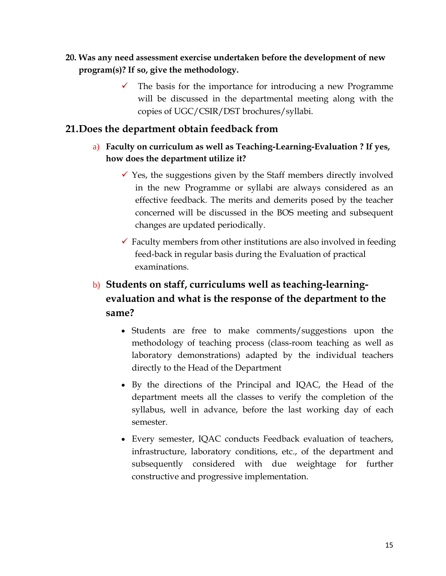### **20. Was any need assessment exercise undertaken before the development of new program(s)? If so, give the methodology.**

 $\checkmark$  The basis for the importance for introducing a new Programme will be discussed in the departmental meeting along with the copies of UGC/CSIR/DST brochures/syllabi.

### **21.Does the department obtain feedback from**

- a) **Faculty on curriculum as well as Teaching-Learning-Evaluation ? If yes, how does the department utilize it?**
	- $\checkmark$  Yes, the suggestions given by the Staff members directly involved in the new Programme or syllabi are always considered as an effective feedback. The merits and demerits posed by the teacher concerned will be discussed in the BOS meeting and subsequent changes are updated periodically.
	- $\checkmark$  Faculty members from other institutions are also involved in feeding feed-back in regular basis during the Evaluation of practical examinations.

# b) **Students on staff, curriculums well as teaching-learningevaluation and what is the response of the department to the same?**

- Students are free to make comments/suggestions upon the methodology of teaching process (class-room teaching as well as laboratory demonstrations) adapted by the individual teachers directly to the Head of the Department
- By the directions of the Principal and IQAC, the Head of the department meets all the classes to verify the completion of the syllabus, well in advance, before the last working day of each semester.
- Every semester, IQAC conducts Feedback evaluation of teachers, infrastructure, laboratory conditions, etc., of the department and subsequently considered with due weightage for further constructive and progressive implementation.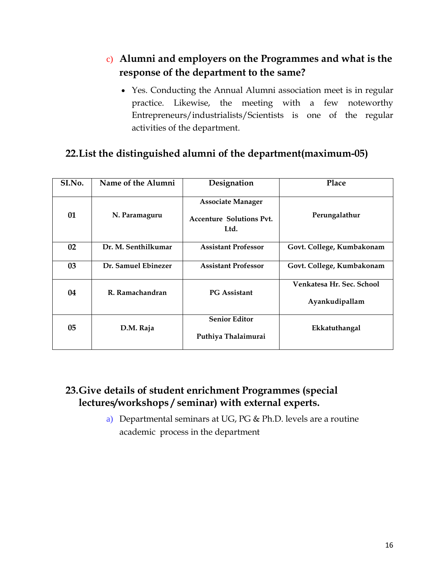# c) **Alumni and employers on the Programmes and what is the response of the department to the same?**

 Yes. Conducting the Annual Alumni association meet is in regular practice. Likewise, the meeting with a few noteworthy Entrepreneurs/industrialists/Scientists is one of the regular activities of the department.

# **22.List the distinguished alumni of the department(maximum-05)**

| SI.No. | Name of the Alumni  | Designation                                                         | Place                                       |
|--------|---------------------|---------------------------------------------------------------------|---------------------------------------------|
| 01     | N. Paramaguru       | <b>Associate Manager</b><br><b>Accenture Solutions Pyt.</b><br>Ltd. | Perungalathur                               |
| 02     | Dr. M. Senthilkumar | <b>Assistant Professor</b>                                          | Govt. College, Kumbakonam                   |
| 03     | Dr. Samuel Ebinezer | <b>Assistant Professor</b>                                          | Govt. College, Kumbakonam                   |
| 04     | R. Ramachandran     | <b>PG</b> Assistant                                                 | Venkatesa Hr. Sec. School<br>Ayankudipallam |
| 05     | D.M. Raja           | <b>Senior Editor</b><br>Puthiya Thalaimurai                         | Ekkatuthangal                               |

# **23.Give details of student enrichment Programmes (special lectures/workshops / seminar) with external experts.**

a) Departmental seminars at UG, PG & Ph.D. levels are a routine academic process in the department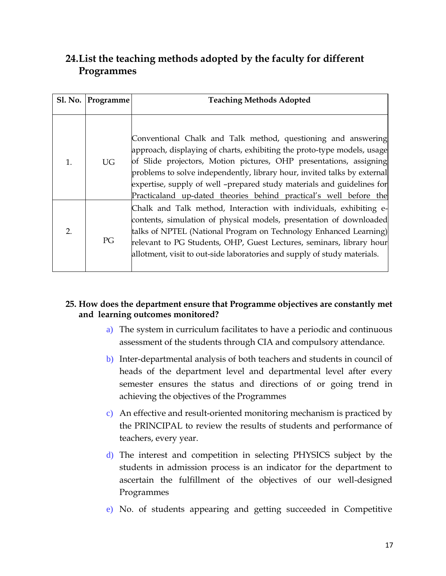# **24.List the teaching methods adopted by the faculty for different Programmes**

|    | Sl. No.   Programme | <b>Teaching Methods Adopted</b>                                                                                                                                                                                                                                                                                                                                                                                                          |
|----|---------------------|------------------------------------------------------------------------------------------------------------------------------------------------------------------------------------------------------------------------------------------------------------------------------------------------------------------------------------------------------------------------------------------------------------------------------------------|
| 1. | <b>UG</b>           | Conventional Chalk and Talk method, questioning and answering<br>approach, displaying of charts, exhibiting the proto-type models, usage<br>of Slide projectors, Motion pictures, OHP presentations, assigning<br>problems to solve independently, library hour, invited talks by external<br>expertise, supply of well-prepared study materials and guidelines for<br>Practicaland up-dated theories behind practical's well before the |
| 2. | PG                  | Chalk and Talk method, Interaction with individuals, exhibiting e-<br>contents, simulation of physical models, presentation of downloaded<br>talks of NPTEL (National Program on Technology Enhanced Learning)<br>relevant to PG Students, OHP, Guest Lectures, seminars, library hour<br>allotment, visit to out-side laboratories and supply of study materials.                                                                       |

#### **25. How does the department ensure that Programme objectives are constantly met and learning outcomes monitored?**

- a) The system in curriculum facilitates to have a periodic and continuous assessment of the students through CIA and compulsory attendance.
- b) Inter-departmental analysis of both teachers and students in council of heads of the department level and departmental level after every semester ensures the status and directions of or going trend in achieving the objectives of the Programmes
- c) An effective and result-oriented monitoring mechanism is practiced by the PRINCIPAL to review the results of students and performance of teachers, every year.
- d) The interest and competition in selecting PHYSICS subject by the students in admission process is an indicator for the department to ascertain the fulfillment of the objectives of our well-designed Programmes
- e) No. of students appearing and getting succeeded in Competitive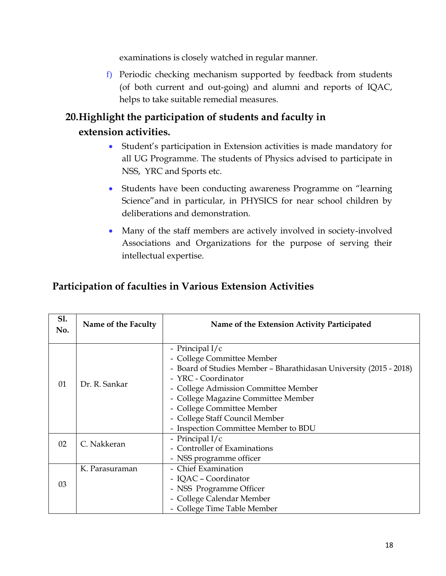examinations is closely watched in regular manner.

f) Periodic checking mechanism supported by feedback from students (of both current and out-going) and alumni and reports of IQAC, helps to take suitable remedial measures.

# **20.Highlight the participation of students and faculty in extension activities.**

- Student's participation in Extension activities is made mandatory for all UG Programme. The students of Physics advised to participate in NSS, YRC and Sports etc.
- Students have been conducting awareness Programme on "learning Science"and in particular, in PHYSICS for near school children by deliberations and demonstration.
- Many of the staff members are actively involved in society-involved Associations and Organizations for the purpose of serving their intellectual expertise.

# **Participation of faculties in Various Extension Activities**

| <b>S1.</b><br>No. | Name of the Faculty | Name of the Extension Activity Participated                                                                                                                                                                                                                                                                                       |
|-------------------|---------------------|-----------------------------------------------------------------------------------------------------------------------------------------------------------------------------------------------------------------------------------------------------------------------------------------------------------------------------------|
| 01                | Dr. R. Sankar       | - Principal I/c<br>- College Committee Member<br>- Board of Studies Member - Bharathidasan University (2015 - 2018)<br>- YRC - Coordinator<br>- College Admission Committee Member<br>- College Magazine Committee Member<br>- College Committee Member<br>- College Staff Council Member<br>- Inspection Committee Member to BDU |
| 02                | C. Nakkeran         | - Principal I/c<br>- Controller of Examinations<br>- NSS programme officer                                                                                                                                                                                                                                                        |
| 03                | K. Parasuraman      | - Chief Examination<br>- IQAC - Coordinator<br>- NSS Programme Officer<br>- College Calendar Member<br>- College Time Table Member                                                                                                                                                                                                |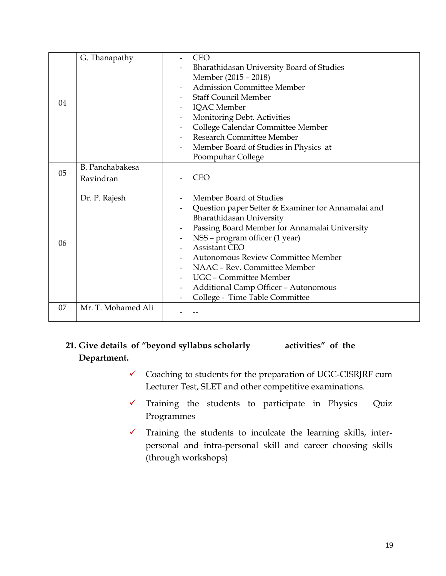|    | G. Thanapathy          | <b>CEO</b>                                         |
|----|------------------------|----------------------------------------------------|
|    |                        | Bharathidasan University Board of Studies          |
|    |                        | Member (2015 - 2018)                               |
|    |                        | <b>Admission Committee Member</b>                  |
| 04 |                        | <b>Staff Council Member</b>                        |
|    |                        | <b>IQAC</b> Member                                 |
|    |                        | Monitoring Debt. Activities                        |
|    |                        | College Calendar Committee Member                  |
|    |                        | <b>Research Committee Member</b>                   |
|    |                        | Member Board of Studies in Physics at              |
|    |                        | Poompuhar College                                  |
| 05 | <b>B.</b> Panchabakesa |                                                    |
|    | Ravindran              | <b>CEO</b>                                         |
|    |                        |                                                    |
|    |                        |                                                    |
|    | Dr. P. Rajesh          | Member Board of Studies                            |
|    |                        | Question paper Setter & Examiner for Annamalai and |
|    |                        | Bharathidasan University                           |
|    |                        | Passing Board Member for Annamalai University      |
|    |                        | NSS - program officer (1 year)                     |
| 06 |                        | <b>Assistant CEO</b>                               |
|    |                        | Autonomous Review Committee Member                 |
|    |                        | NAAC - Rev. Committee Member                       |
|    |                        | UGC - Committee Member                             |
|    |                        | <b>Additional Camp Officer - Autonomous</b>        |
|    |                        | College - Time Table Committee                     |
| 07 | Mr. T. Mohamed Ali     |                                                    |

### **21. Give details of "beyond syllabus scholarly activities" of the Department.**

- $\checkmark$  Coaching to students for the preparation of UGC-CISRJRF cum Lecturer Test, SLET and other competitive examinations.
- $\checkmark$  Training the students to participate in Physics Quiz Programmes
- $\checkmark$  Training the students to inculcate the learning skills, interpersonal and intra-personal skill and career choosing skills (through workshops)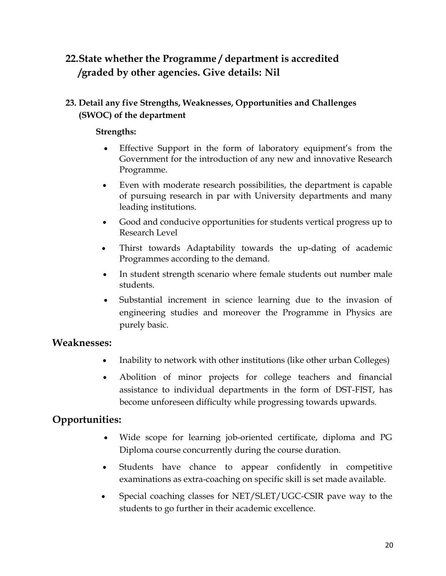# **22.State whether the Programme / department is accredited /graded by other agencies. Give details: Nil**

### **23. Detail any five Strengths, Weaknesses, Opportunities and Challenges (SWOC) of the department**

#### **Strengths:**

- Effective Support in the form of laboratory equipment's from the Government for the introduction of any new and innovative Research Programme.
- Even with moderate research possibilities, the department is capable of pursuing research in par with University departments and many leading institutions.
- Good and conducive opportunities for students vertical progress up to Research Level
- Thirst towards Adaptability towards the up-dating of academic Programmes according to the demand.
- In student strength scenario where female students out number male students.
- Substantial increment in science learning due to the invasion of engineering studies and moreover the Programme in Physics are purely basic.

### **Weaknesses:**

- Inability to network with other institutions (like other urban Colleges)
- Abolition of minor projects for college teachers and financial assistance to individual departments in the form of DST-FIST, has become unforeseen difficulty while progressing towards upwards.

# **Opportunities:**

- Wide scope for learning job-oriented certificate, diploma and PG Diploma course concurrently during the course duration.
- Students have chance to appear confidently in competitive examinations as extra-coaching on specific skill is set made available.
- Special coaching classes for NET/SLET/UGC-CSIR pave way to the students to go further in their academic excellence.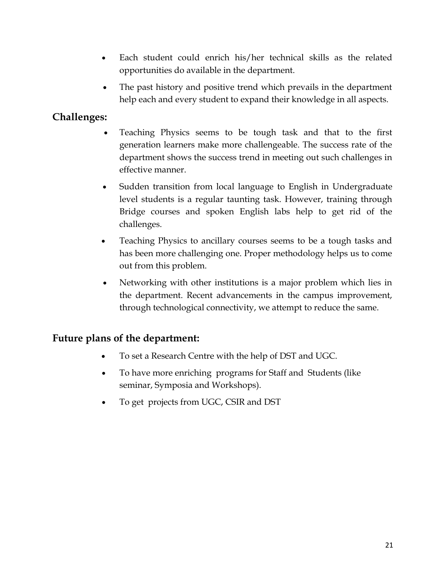- Each student could enrich his/her technical skills as the related opportunities do available in the department.
- The past history and positive trend which prevails in the department help each and every student to expand their knowledge in all aspects.

# **Challenges:**

- Teaching Physics seems to be tough task and that to the first generation learners make more challengeable. The success rate of the department shows the success trend in meeting out such challenges in effective manner.
- Sudden transition from local language to English in Undergraduate level students is a regular taunting task. However, training through Bridge courses and spoken English labs help to get rid of the challenges.
- Teaching Physics to ancillary courses seems to be a tough tasks and has been more challenging one. Proper methodology helps us to come out from this problem.
- Networking with other institutions is a major problem which lies in the department. Recent advancements in the campus improvement, through technological connectivity, we attempt to reduce the same.

## **Future plans of the department:**

- To set a Research Centre with the help of DST and UGC.
- To have more enriching programs for Staff and Students (like seminar, Symposia and Workshops).
- To get projects from UGC, CSIR and DST